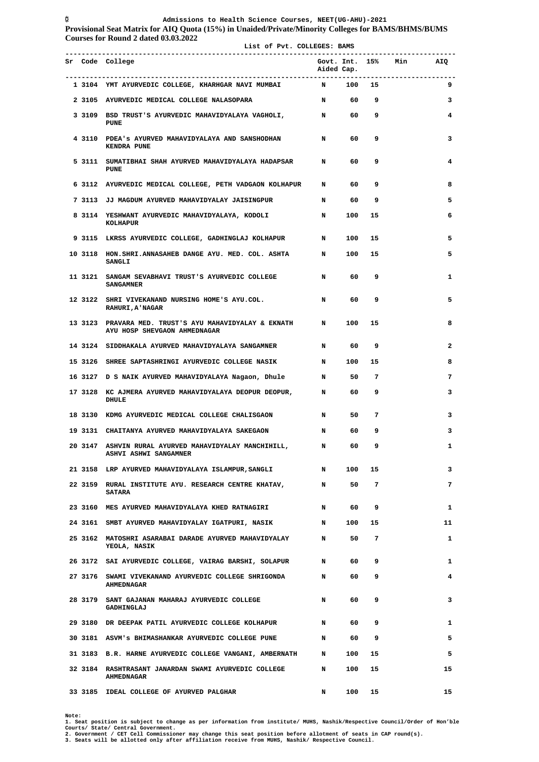**Provisional Seat Matrix for AIQ Quota (15%) in Unaided/Private/Minority Colleges for BAMS/BHMS/BUMS Courses for Round 2 dated 03.03.2022 List of Pvt. COLLEGES: BAMS** 

|  | List of Pvt. COLLEGES: BAMS                                                                       |             |      |                |                        |    |
|--|---------------------------------------------------------------------------------------------------|-------------|------|----------------|------------------------|----|
|  | Sr Code College                                                                                   | Aided Cap.  |      |                | Govt. Int. 15% Min AIQ |    |
|  | 1 3104 YMT AYURVEDIC COLLEGE, KHARHGAR NAVI MUMBAI N 100 15                                       |             |      |                |                        | 9  |
|  | 2 3105 AYURVEDIC MEDICAL COLLEGE NALASOPARA N N 60 9                                              |             |      |                |                        | 3  |
|  | 3 3109 BSD TRUST'S AYURVEDIC MAHAVIDYALAYA VAGHOLI, N<br><b>PUNE</b>                              |             |      | 60 9           |                        | 4  |
|  | 4 3110 PDEA's AYURVED MAHAVIDYALAYA AND SANSHODHAN N<br>KENDRA PUNE                               |             | 60   | 9              |                        | 3  |
|  | 5 3111 SUMATIBHAI SHAH AYURVED MAHAVIDYALAYA HADAPSAR N<br><b>PUNE</b>                            |             | 60   | 9              |                        | 4  |
|  | 6 3112 AYURVEDIC MEDICAL COLLEGE, PETH VADGAON KOLHAPUR N                                         |             | 60   | 9              |                        | 8  |
|  | 7 3113 JJ MAGDUM AYURVED MAHAVIDYALAY JAISINGPUR N                                                |             | 60   | 9              |                        | 5  |
|  | 8 3114 YESHWANT AYURVEDIC MAHAVIDYALAYA, KODOLI N<br>KOLHAPUR                                     |             | 100  | 15             |                        | 6  |
|  | 9 3115 LKRSS AYURVEDIC COLLEGE, GADHINGLAJ KOLHAPUR N                                             |             | 100  | 15             |                        | 5  |
|  | 10 3118 HON.SHRI.ANNASAHEB DANGE AYU. MED. COL. ASHTA N<br><b>SANGLI</b>                          |             | 100  | 15             |                        | 5  |
|  | 11 3121 SANGAM SEVABHAVI TRUST'S AYURVEDIC COLLEGE THE N<br><b>SANGAMNER</b>                      |             | 60   | 9              |                        | 1  |
|  | 12 3122 SHRI VIVEKANAND NURSING HOME'S AYU.COL.<br><b>RAHURI, A' NAGAR</b>                        | $\mathbf N$ | 60   | 9              |                        | 5  |
|  | 13 3123 PRAVARA MED. TRUST'S AYU MAHAVIDYALAY & EKNATH N<br>AYU HOSP SHEVGAON AHMEDNAGAR          |             | 100  | 15             |                        | 8  |
|  | 14 3124 SIDDHAKALA AYURVED MAHAVIDYALAYA SANGAMNER N N 60                                         |             |      | و ۔            |                        | 2  |
|  | 15 3126 SHREE SAPTASHRINGI AYURVEDIC COLLEGE NASIK N                                              |             | 100  | 15             |                        | 8  |
|  | 16 3127 D S NAIK AYURVED MAHAVIDYALAYA Nagaon, Dhule N                                            |             | 50   | $\overline{7}$ |                        | 7  |
|  | 17 3128 KC AJMERA AYURVED MAHAVIDYALAYA DEOPUR DEOPUR, N<br>DHULE                                 |             | 60   | 9              |                        | 3  |
|  | 18 3130 KDMG AYURVEDIC MEDICAL COLLEGE CHALISGAON N                                               |             | 50   | $\overline{7}$ |                        | 3  |
|  | 19 3131 CHAITANYA AYURVED MAHAVIDYALAYA SAKEGAON                                                  | $\mathbf N$ | 60   | 9              |                        | 3  |
|  | 20 3147 ASHVIN RURAL AYURVED MAHAVIDYALAY MANCHIHILL, N<br><b>ASHVI ASHWI SANGAMNER</b>           |             | 60   | 9              |                        | 1  |
|  | 21 3158 LRP AYURVED MAHAVIDYALAYA ISLAMPUR, SANGLI N                                              |             | 100  | 15             |                        | 3  |
|  | 22 3159 RURAL INSTITUTE AYU. RESEARCH CENTRE KHATAV, N<br><b>SATARA</b>                           |             | 50   | 7              |                        | 7  |
|  | 23 3160 MES AYURVED MAHAVIDYALAYA KHED RATNAGIRI                                                  | $\mathbf N$ | 60   | 9              |                        | 1  |
|  | 24 3161 SMBT AYURVED MAHAVIDYALAY IGATPURI, NASIK NARAM NARAMBIR ANG MAHAVIDYALAY IGATPURI, NASIK |             |      | 100 15         |                        | 11 |
|  | 25 3162 MATOSHRI ASARABAI DARADE AYURVED MAHAVIDYALAY M<br>YEOLA, NASIK                           |             | 50   | 7              |                        | 1  |
|  | 26 3172 SAI AYURVEDIC COLLEGE, VAIRAG BARSHI, SOLAPUR N                                           |             | 60 — | 9              |                        | 1  |
|  | 27 3176 SWAMI VIVEKANAND AYURVEDIC COLLEGE SHRIGONDA N<br>AHMEDNAGAR                              |             | 60 — | 9              |                        | 4  |
|  | 28 3179 SANT GAJANAN MAHARAJ AYURVEDIC COLLEGE<br>GADHINGLAJ                                      | $\mathbf N$ | 60 — | 9              |                        | 3  |
|  | 29 3180 DR DEEPAK PATIL AYURVEDIC COLLEGE KOLHAPUR N                                              |             | 60 — | 9              |                        | 1  |
|  | 30 3181 ASVM's BHIMASHANKAR AYURVEDIC COLLEGE PUNE N                                              |             |      | 60 9           |                        | 5  |
|  | 31 3183 B.R. HARNE AYURVEDIC COLLEGE VANGANI, AMBERNATH N                                         |             | 100  | 15             |                        | 5  |
|  | 32 3184 RASHTRASANT JANARDAN SWAMI AYURVEDIC COLLEGE N<br>AHMEDNAGAR                              |             | 100  | 15             |                        | 15 |
|  | 33 3185 IDEAL COLLEGE OF AYURVED PALGHAR                                                          | N           | 100  | 15             |                        | 15 |

Note:<br>1. Seat position is subject to change as per information from institute/ MUHS, Nashik/Respective Council/Order of Hon'ble<br>Courts/ State/ Central Government.<br>2. Government / CET Cell Commissioner may change this seat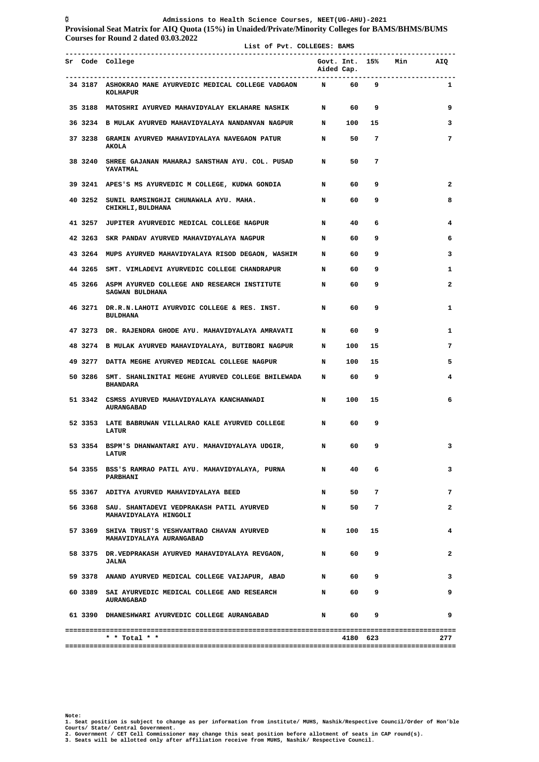**List of Pvt. COLLEGES: BAMS** 

**Provisional Seat Matrix for AIQ Quota (15%) in Unaided/Private/Minority Colleges for BAMS/BHMS/BUMS Courses for Round 2 dated 03.03.2022**

|  | Sr Code College                                                                    | Aided Cap.  |          |                | Govt. Int. 15% Min AIQ |                |
|--|------------------------------------------------------------------------------------|-------------|----------|----------------|------------------------|----------------|
|  | 34 3187 ASHOKRAO MANE AYURVEDIC MEDICAL COLLEGE VADGAON N 60 9<br>KOLHAPUR         |             |          |                |                        | 1              |
|  | 35 3188 MATOSHRI AYURVED MAHAVIDYALAY EKLAHARE NASHIK N N 60                       |             |          | و ۔            |                        | 9              |
|  | 36 3234 B MULAK AYURVED MAHAVIDYALAYA NANDANVAN NAGPUR N 100 15                    |             |          |                |                        | 3              |
|  | 37 3238 GRAMIN AYURVED MAHAVIDYALAYA NAVEGAON PATUR N N 50<br><b>AKOLA</b>         |             |          | $\overline{7}$ |                        | $\overline{7}$ |
|  | 38 3240 SHREE GAJANAN MAHARAJ SANSTHAN AYU. COL. PUSAD N<br><b>YAVATMAL</b>        |             | 50       | $\overline{7}$ |                        |                |
|  | 39 3241 APES'S MS AYURVEDIC M COLLEGE, KUDWA GONDIA N                              |             | 60       | و ۔            |                        | 2              |
|  | 40 3252 SUNIL RAMSINGHJI CHUNAWALA AYU. MAHA.<br>CHIKHLI, BULDHANA                 | $\mathbf N$ | 60       | و ۔            |                        | 8              |
|  | 41 3257 JUPITER AYURVEDIC MEDICAL COLLEGE NAGPUR                                   | N 40        |          | $6^{\circ}$    |                        | 4              |
|  | 42 3263 SKR PANDAV AYURVED MAHAVIDYALAYA NAGPUR                                    | N 60        |          | و ۔            |                        | 6              |
|  | 43 3264 MUPS AYURVED MAHAVIDYALAYA RISOD DEGAON, WASHIM N 60                       |             |          | و ۔            |                        | 3              |
|  | 44 3265 SMT. VIMLADEVI AYURVEDIC COLLEGE CHANDRAPUR N 60                           |             |          | و ۔            |                        | 1              |
|  | 45 3266 ASPM AYURVED COLLEGE AND RESEARCH INSTITUTE N 60<br><b>SAGWAN BULDHANA</b> |             |          | - 9            |                        | 2              |
|  | 46 3271 DR.R.N.LAHOTI AYURVDIC COLLEGE & RES. INST. N 60<br><b>BULDHANA</b>        |             |          | و ۔            |                        | 1              |
|  | 47 3273 DR. RAJENDRA GHODE AYU. MAHAVIDYALAYA AMRAVATI N 60 9                      |             |          |                |                        | 1              |
|  | 48 3274 B MULAK AYURVED MAHAVIDYALAYA, BUTIBORI NAGPUR N 100 15                    |             |          |                |                        | 7              |
|  | 49 3277 DATTA MEGHE AYURVED MEDICAL COLLEGE NAGPUR N N 100 15                      |             |          |                |                        | 5              |
|  | 50 3286 SMT. SHANLINITAI MEGHE AYURVED COLLEGE BHILEWADA N 60<br><b>BHANDARA</b>   |             |          | و ۔            |                        | 4              |
|  | 51 3342  CSMSS AYURVED MAHAVIDYALAYA KANCHANWADI<br><b>AURANGABAD</b>              | $\mathbf N$ | 100      | 15             |                        | 6              |
|  | 52 3353 LATE BABRUWAN VILLALRAO KALE AYURVED COLLEGE N 60<br><b>LATUR</b>          |             |          | و ۔            |                        |                |
|  | 53 3354 BSPM'S DHANWANTARI AYU. MAHAVIDYALAYA UDGIR,<br><b>LATUR</b>               | N 60 9      |          |                |                        | 3              |
|  | 54 3355 BSS'S RAMRAO PATIL AYU. MAHAVIDYALAYA, PURNA<br>PARBHANI                   | N           | 40       | 6              |                        | 3              |
|  | 55 3367 ADITYA AYURVED MAHAVIDYALAYA BEED                                          | N           |          | 50 7           |                        | 7              |
|  | 56 3368 SAU. SHANTADEVI VEDPRAKASH PATIL AYURVED<br>MAHAVIDYALAYA HINGOLI          |             | N 50 7   |                |                        | $\mathbf{2}$   |
|  | 57 3369 SHIVA TRUST'S YESHVANTRAO CHAVAN AYURVED<br>MAHAVIDYALAYA AURANGABAD       | $\mathbf N$ | 100      | 15             |                        | 4              |
|  | 58 3375 DR.VEDPRAKASH AYURVED MAHAVIDYALAYA REVGAON, N 1 60 9<br><b>JALNA</b>      |             |          |                |                        | 2              |
|  | 59 3378 ANAND AYURVED MEDICAL COLLEGE VAIJAPUR, ABAD                               | N 60        |          | 9              |                        | 3              |
|  | 60 3389 SAI AYURVEDIC MEDICAL COLLEGE AND RESEARCH<br><b>AURANGABAD</b>            | N 609       |          |                |                        | 9              |
|  | 61 3390 DHANESHWARI AYURVEDIC COLLEGE AURANGABAD                                   | N 60        |          | 9              |                        | 9              |
|  | * * Total * *                                                                      |             | 4180 623 |                |                        | 277            |

Note:<br>1. Seat position is subject to change as per information from institute/ MUHS, Nashik/Respective Council/Order of Hon'ble<br>Courts/ State/ Central Government.<br>2. Government / CET Cell Commissioner may change this seat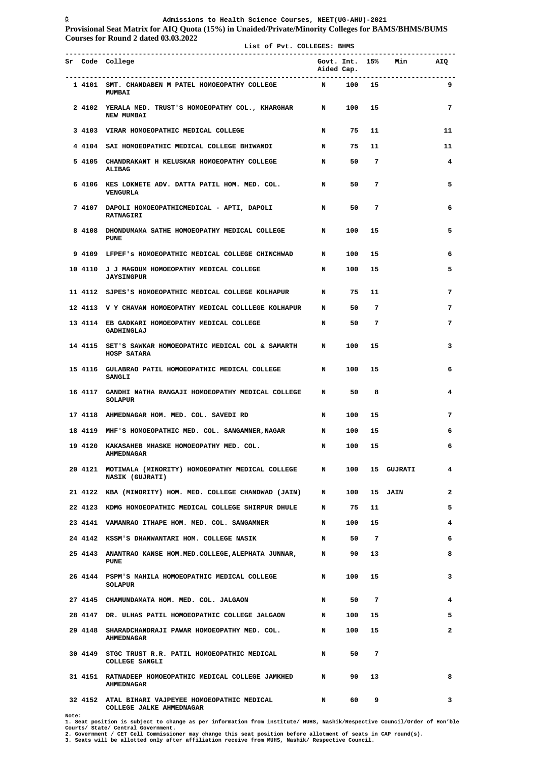**Provisional Seat Matrix for AIQ Quota (15%) in Unaided/Private/Minority Colleges for BAMS/BHMS/BUMS Courses for Round 2 dated 03.03.2022**

 **List of Pvt. COLLEGES: BHMS** 

|  | Sr Code College                                                                     | Aided Cap.  |         |                | Govt. Int. 15% Min AIQ |                |
|--|-------------------------------------------------------------------------------------|-------------|---------|----------------|------------------------|----------------|
|  | 1 4101 SMT. CHANDABEN M PATEL HOMOEOPATHY COLLEGE<br><b>MUMBAI</b>                  | N 100 15    |         |                |                        | 9              |
|  | 2 4102 YERALA MED. TRUST'S HOMOEOPATHY COL., KHARGHAR N 100 15<br><b>NEW MUMBAI</b> |             |         |                |                        | $\overline{7}$ |
|  | 3 4103 VIRAR HOMOEOPATHIC MEDICAL COLLEGE                                           |             | N 75 11 |                |                        | 11             |
|  | 4 4104 SAI HOMOEOPATHIC MEDICAL COLLEGE BHIWANDI                                    | N 75 11     |         |                |                        | 11             |
|  | 5 4105 CHANDRAKANT H KELUSKAR HOMOEOPATHY COLLEGE<br>ALIBAG                         | $\mathbf N$ |         | 50 7           |                        | $\overline{4}$ |
|  | 6 4106 KES LOKNETE ADV. DATTA PATIL HOM. MED. COL. N<br>VENGURLA                    |             | 50      | $\overline{7}$ |                        | 5              |
|  | 7 4107 DAPOLI HOMOEOPATHICMEDICAL - APTI, DAPOLI<br><b>RATNAGIRI</b>                | N           | 50 7    |                |                        | 6              |
|  | 8 4108 DHONDUMAMA SATHE HOMOEOPATHY MEDICAL COLLEGE N<br><b>PUNE</b>                |             |         | 100 15         |                        | 5              |
|  | 9 4109 LFPEF'S HOMOEOPATHIC MEDICAL COLLEGE CHINCHWAD N                             |             |         | 100 15         |                        | 6              |
|  | 10 4110 J J MAGDUM HOMOEOPATHY MEDICAL COLLEGE<br><b>JAYSINGPUR</b>                 | $\mathbf N$ |         | 100 15         |                        | 5              |
|  | 11 4112 SJPES'S HOMOEOPATHIC MEDICAL COLLEGE KOLHAPUR N 75 11                       |             |         |                |                        | 7              |
|  | 12 4113 V Y CHAVAN HOMOEOPATHY MEDICAL COLLLEGE KOLHAPUR N 50 7                     |             |         |                |                        | 7              |
|  | 13 4114 EB GADKARI HOMOEOPATHY MEDICAL COLLEGE<br>GADHINGLAJ                        | $\mathbf N$ |         | 50 7           |                        | 7              |
|  | 14 4115 SET'S SAWKAR HOMOEOPATHIC MEDICAL COL & SAMARTH N<br>HOSP SATARA            |             | 100     | 15             |                        | 3              |
|  | 15 4116 GULABRAO PATIL HOMOEOPATHIC MEDICAL COLLEGE N 100 15<br><b>SANGLI</b>       |             |         |                |                        | 6              |
|  | 16 4117 GANDHI NATHA RANGAJI HOMOEOPATHY MEDICAL COLLEGE N 50 8<br>SOLAPUR          |             |         |                |                        | 4              |
|  | 17 4118 AHMEDNAGAR HOM. MED. COL. SAVEDI RD                                         | N 100 15    |         |                |                        | 7              |
|  | 18 4119 MHF'S HOMOEOPATHIC MED. COL. SANGAMNER, NAGAR N                             |             |         | 100 15         |                        | 6              |
|  | 19 4120 KAKASAHEB MHASKE HOMOEOPATHY MED. COL.<br><b>AHMEDNAGAR</b>                 | $\mathbf N$ |         | 100 15         |                        | 6              |
|  | 20 4121 MOTIWALA (MINORITY) HOMOEOPATHY MEDICAL COLLEGE N<br>NASIK (GUJRATI)        |             | 100     |                | 15 GUJRATI             | 4              |
|  | 21 4122 KBA (MINORITY) HOM. MED. COLLEGE CHANDWAD (JAIN) N                          |             | 100     |                | 15 JAIN                | $\overline{2}$ |
|  | 22 4123 KDMG HOMOEOPATHIC MEDICAL COLLEGE SHIRPUR DHULE N                           |             | 75      | 11             |                        | 5              |
|  | 23 4141 VAMANRAO ITHAPE HOM. MED. COL. SANGAMNER N                                  |             | 100     | 15             |                        | 4              |
|  | 24 4142 KSSM'S DHANWANTARI HOM. COLLEGE NASIK<br>$\mathbf N$                        |             | 50      | $\overline{7}$ |                        | 6              |
|  | 25 4143 ANANTRAO KANSE HOM.MED.COLLEGE, ALEPHATA JUNNAR, N<br><b>PUNE</b>           |             | 90      | 13             |                        | 8              |
|  | 26 4144 PSPM'S MAHILA HOMOEOPATHIC MEDICAL COLLEGE<br>$\mathbf N$<br>SOLAPUR        |             | 100     | 15             |                        | 3              |
|  | 27 4145 CHAMUNDAMATA HOM. MED. COL. JALGAON                                         | $\mathbf N$ | 50      | $\overline{7}$ |                        | 4              |
|  | 28 4147 DR. ULHAS PATIL HOMOEOPATHIC COLLEGE JALGAON N                              |             | 100     | 15             |                        | 5              |
|  | 29 4148 SHARADCHANDRAJI PAWAR HOMOEOPATHY MED. COL. N<br><b>AHMEDNAGAR</b>          |             | 100     | 15             |                        | 2              |
|  | 30 4149 STGC TRUST R.R. PATIL HOMOEOPATHIC MEDICAL N<br>COLLEGE SANGLI              |             | 50      | 7              |                        |                |
|  | 31 4151 RATNADEEP HOMOEOPATHIC MEDICAL COLLEGE JAMKHED N<br><b>AHMEDNAGAR</b>       |             | 90      | 13             |                        | 8              |
|  | 32 4152 ATAL BIHARI VAJPEYEE HOMOEOPATHIC MEDICAL<br>COLLEGE JALKE AHMEDNAGAR       | N           | 60 —    | 9              |                        | 3              |

Note:<br>1. Seat position is subject to change as per information from institute/ MUHS, Nashik/Respective Council/Order of Hon'ble<br>Courts/ State/ Central Government.<br>2. Government / CET Cell Commissioner may change this seat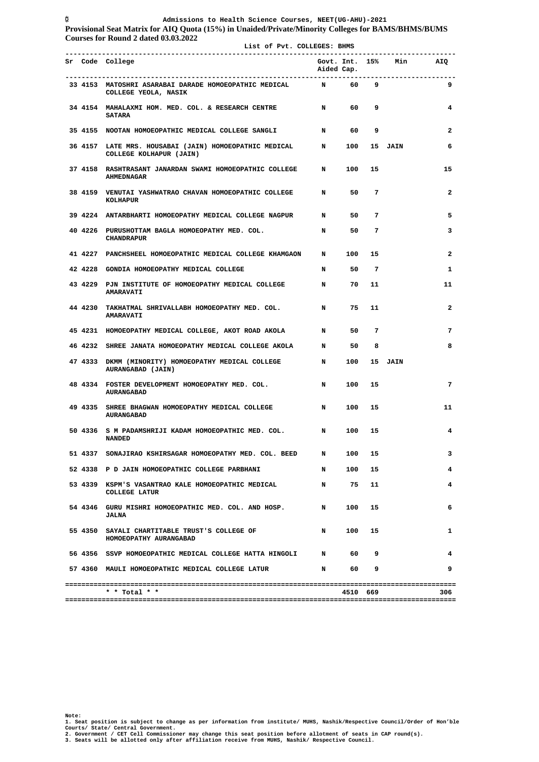**Provisional Seat Matrix for AIQ Quota (15%) in Unaided/Private/Minority Colleges for BAMS/BHMS/BUMS Courses for Round 2 dated 03.03.2022**

| Govt. Int. 15% Min AIQ<br>Sr Code College<br>Aided Cap.<br>33 4153 MATOSHRI ASARABAI DARADE HOMOEOPATHIC MEDICAL N 60 9<br>9<br>COLLEGE YEOLA, NASIK<br>34 4154 MAHALAXMI HOM. MED. COL. & RESEARCH CENTRE N 60 9<br>4<br><b>SATARA</b><br>35 4155 NOOTAN HOMOEOPATHIC MEDICAL COLLEGE SANGLI N 60 9<br>$\mathbf{2}$<br>36 4157 LATE MRS. HOUSABAI (JAIN) HOMOEOPATHIC MEDICAL N 100 15 JAIN<br>6<br>COLLEGE KOLHAPUR (JAIN)<br>37 4158 RASHTRASANT JANARDAN SWAMI HOMOEOPATHIC COLLEGE N 100 15<br>15<br><b>AHMEDNAGAR</b><br>38 4159 VENUTAI YASHWATRAO CHAVAN HOMOEOPATHIC COLLEGE N 50 7<br>$\mathbf{2}$<br>KOLHAPUR<br>39 4224 ANTARBHARTI HOMOEOPATHY MEDICAL COLLEGE NAGPUR N<br>50 7<br>5<br>$\mathbf N$<br>50 7<br>40 4226 PURUSHOTTAM BAGLA HOMOEOPATHY MED. COL.<br>3<br><b>CHANDRAPUR</b><br>41 4227 PANCHSHEEL HOMOEOPATHIC MEDICAL COLLEGE KHAMGAON N 100 15<br>2<br>$\mathbf N$<br>42 4228 GONDIA HOMOEOPATHY MEDICAL COLLEGE<br>50 7<br>1<br>43 4229 PJN INSTITUTE OF HOMOEOPATHY MEDICAL COLLEGE N<br>70<br>11<br>11<br><b>AMARAVATI</b><br>44 4230 TAKHATMAL SHRIVALLABH HOMOEOPATHY MED. COL.<br>$\mathbf N$<br>75<br>$\mathbf{2}$<br>11<br><b>AMARAVATI</b><br>50 7<br>7<br>45 4231 HOMOEOPATHY MEDICAL COLLEGE, AKOT ROAD AKOLA N<br>46 4232 SHREE JANATA HOMOEOPATHY MEDICAL COLLEGE AKOLA N 50 8<br>8<br>47 4333 DKMM (MINORITY) HOMOEOPATHY MEDICAL COLLEGE N<br>100 15 JAIN<br>AURANGABAD (JAIN)<br>48 4334 FOSTER DEVELOPMENT HOMOEOPATHY MED. COL.<br>$\mathbf N$<br>15<br>7<br>100<br><b>AURANGABAD</b><br>$\mathbf N$<br>100 15<br>49 4335 SHREE BHAGWAN HOMOEOPATHY MEDICAL COLLEGE<br>11<br><b>AURANGABAD</b><br>50 4336 S M PADAMSHRIJI KADAM HOMOEOPATHIC MED. COL. N<br>100 15<br>4<br><b>NANDED</b><br>51 4337 SONAJIRAO KSHIRSAGAR HOMOEOPATHY MED. COL. BEED<br>100<br>3<br>N<br>15<br>52 4338 P D JAIN HOMOEOPATHIC COLLEGE PARBHANI<br>$\mathbf N$<br>100<br>15<br>4<br>53 4339 KSPM'S VASANTRAO KALE HOMOEOPATHIC MEDICAL N<br>75<br>11<br>4<br><b>COLLEGE LATUR</b><br>54 4346 GURU MISHRI HOMOEOPATHIC MED. COL. AND HOSP. N<br>100<br>15<br>6<br><b>JALNA</b><br>55 4350 SAYALI CHARTITABLE TRUST'S COLLEGE OF<br>100<br>15<br>$\mathbf N$<br>1<br>HOMOEOPATHY AURANGABAD<br>56 4356 SSVP HOMOEOPATHIC MEDICAL COLLEGE HATTA HINGOLI N<br>60 9<br>4<br>57 4360 MAULI HOMOEOPATHIC MEDICAL COLLEGE LATUR<br>N 60 9<br>9<br>$*$ * Total * *<br>4510 669<br>306 |  | List of Pvt. COLLEGES: BHMS |  |  |  |
|---------------------------------------------------------------------------------------------------------------------------------------------------------------------------------------------------------------------------------------------------------------------------------------------------------------------------------------------------------------------------------------------------------------------------------------------------------------------------------------------------------------------------------------------------------------------------------------------------------------------------------------------------------------------------------------------------------------------------------------------------------------------------------------------------------------------------------------------------------------------------------------------------------------------------------------------------------------------------------------------------------------------------------------------------------------------------------------------------------------------------------------------------------------------------------------------------------------------------------------------------------------------------------------------------------------------------------------------------------------------------------------------------------------------------------------------------------------------------------------------------------------------------------------------------------------------------------------------------------------------------------------------------------------------------------------------------------------------------------------------------------------------------------------------------------------------------------------------------------------------------------------------------------------------------------------------------------------------------------------------------------------------------------------------------------------------------------------------------------------------------------------------------------------------------------------------------------------------------------------------------------------------------------------------------------------------------------------------------------------------------------------------------------|--|-----------------------------|--|--|--|
|                                                                                                                                                                                                                                                                                                                                                                                                                                                                                                                                                                                                                                                                                                                                                                                                                                                                                                                                                                                                                                                                                                                                                                                                                                                                                                                                                                                                                                                                                                                                                                                                                                                                                                                                                                                                                                                                                                                                                                                                                                                                                                                                                                                                                                                                                                                                                                                                         |  |                             |  |  |  |
|                                                                                                                                                                                                                                                                                                                                                                                                                                                                                                                                                                                                                                                                                                                                                                                                                                                                                                                                                                                                                                                                                                                                                                                                                                                                                                                                                                                                                                                                                                                                                                                                                                                                                                                                                                                                                                                                                                                                                                                                                                                                                                                                                                                                                                                                                                                                                                                                         |  |                             |  |  |  |
|                                                                                                                                                                                                                                                                                                                                                                                                                                                                                                                                                                                                                                                                                                                                                                                                                                                                                                                                                                                                                                                                                                                                                                                                                                                                                                                                                                                                                                                                                                                                                                                                                                                                                                                                                                                                                                                                                                                                                                                                                                                                                                                                                                                                                                                                                                                                                                                                         |  |                             |  |  |  |
|                                                                                                                                                                                                                                                                                                                                                                                                                                                                                                                                                                                                                                                                                                                                                                                                                                                                                                                                                                                                                                                                                                                                                                                                                                                                                                                                                                                                                                                                                                                                                                                                                                                                                                                                                                                                                                                                                                                                                                                                                                                                                                                                                                                                                                                                                                                                                                                                         |  |                             |  |  |  |
|                                                                                                                                                                                                                                                                                                                                                                                                                                                                                                                                                                                                                                                                                                                                                                                                                                                                                                                                                                                                                                                                                                                                                                                                                                                                                                                                                                                                                                                                                                                                                                                                                                                                                                                                                                                                                                                                                                                                                                                                                                                                                                                                                                                                                                                                                                                                                                                                         |  |                             |  |  |  |
|                                                                                                                                                                                                                                                                                                                                                                                                                                                                                                                                                                                                                                                                                                                                                                                                                                                                                                                                                                                                                                                                                                                                                                                                                                                                                                                                                                                                                                                                                                                                                                                                                                                                                                                                                                                                                                                                                                                                                                                                                                                                                                                                                                                                                                                                                                                                                                                                         |  |                             |  |  |  |
|                                                                                                                                                                                                                                                                                                                                                                                                                                                                                                                                                                                                                                                                                                                                                                                                                                                                                                                                                                                                                                                                                                                                                                                                                                                                                                                                                                                                                                                                                                                                                                                                                                                                                                                                                                                                                                                                                                                                                                                                                                                                                                                                                                                                                                                                                                                                                                                                         |  |                             |  |  |  |
|                                                                                                                                                                                                                                                                                                                                                                                                                                                                                                                                                                                                                                                                                                                                                                                                                                                                                                                                                                                                                                                                                                                                                                                                                                                                                                                                                                                                                                                                                                                                                                                                                                                                                                                                                                                                                                                                                                                                                                                                                                                                                                                                                                                                                                                                                                                                                                                                         |  |                             |  |  |  |
|                                                                                                                                                                                                                                                                                                                                                                                                                                                                                                                                                                                                                                                                                                                                                                                                                                                                                                                                                                                                                                                                                                                                                                                                                                                                                                                                                                                                                                                                                                                                                                                                                                                                                                                                                                                                                                                                                                                                                                                                                                                                                                                                                                                                                                                                                                                                                                                                         |  |                             |  |  |  |
|                                                                                                                                                                                                                                                                                                                                                                                                                                                                                                                                                                                                                                                                                                                                                                                                                                                                                                                                                                                                                                                                                                                                                                                                                                                                                                                                                                                                                                                                                                                                                                                                                                                                                                                                                                                                                                                                                                                                                                                                                                                                                                                                                                                                                                                                                                                                                                                                         |  |                             |  |  |  |
|                                                                                                                                                                                                                                                                                                                                                                                                                                                                                                                                                                                                                                                                                                                                                                                                                                                                                                                                                                                                                                                                                                                                                                                                                                                                                                                                                                                                                                                                                                                                                                                                                                                                                                                                                                                                                                                                                                                                                                                                                                                                                                                                                                                                                                                                                                                                                                                                         |  |                             |  |  |  |
|                                                                                                                                                                                                                                                                                                                                                                                                                                                                                                                                                                                                                                                                                                                                                                                                                                                                                                                                                                                                                                                                                                                                                                                                                                                                                                                                                                                                                                                                                                                                                                                                                                                                                                                                                                                                                                                                                                                                                                                                                                                                                                                                                                                                                                                                                                                                                                                                         |  |                             |  |  |  |
|                                                                                                                                                                                                                                                                                                                                                                                                                                                                                                                                                                                                                                                                                                                                                                                                                                                                                                                                                                                                                                                                                                                                                                                                                                                                                                                                                                                                                                                                                                                                                                                                                                                                                                                                                                                                                                                                                                                                                                                                                                                                                                                                                                                                                                                                                                                                                                                                         |  |                             |  |  |  |
|                                                                                                                                                                                                                                                                                                                                                                                                                                                                                                                                                                                                                                                                                                                                                                                                                                                                                                                                                                                                                                                                                                                                                                                                                                                                                                                                                                                                                                                                                                                                                                                                                                                                                                                                                                                                                                                                                                                                                                                                                                                                                                                                                                                                                                                                                                                                                                                                         |  |                             |  |  |  |
|                                                                                                                                                                                                                                                                                                                                                                                                                                                                                                                                                                                                                                                                                                                                                                                                                                                                                                                                                                                                                                                                                                                                                                                                                                                                                                                                                                                                                                                                                                                                                                                                                                                                                                                                                                                                                                                                                                                                                                                                                                                                                                                                                                                                                                                                                                                                                                                                         |  |                             |  |  |  |
|                                                                                                                                                                                                                                                                                                                                                                                                                                                                                                                                                                                                                                                                                                                                                                                                                                                                                                                                                                                                                                                                                                                                                                                                                                                                                                                                                                                                                                                                                                                                                                                                                                                                                                                                                                                                                                                                                                                                                                                                                                                                                                                                                                                                                                                                                                                                                                                                         |  |                             |  |  |  |
|                                                                                                                                                                                                                                                                                                                                                                                                                                                                                                                                                                                                                                                                                                                                                                                                                                                                                                                                                                                                                                                                                                                                                                                                                                                                                                                                                                                                                                                                                                                                                                                                                                                                                                                                                                                                                                                                                                                                                                                                                                                                                                                                                                                                                                                                                                                                                                                                         |  |                             |  |  |  |
|                                                                                                                                                                                                                                                                                                                                                                                                                                                                                                                                                                                                                                                                                                                                                                                                                                                                                                                                                                                                                                                                                                                                                                                                                                                                                                                                                                                                                                                                                                                                                                                                                                                                                                                                                                                                                                                                                                                                                                                                                                                                                                                                                                                                                                                                                                                                                                                                         |  |                             |  |  |  |
|                                                                                                                                                                                                                                                                                                                                                                                                                                                                                                                                                                                                                                                                                                                                                                                                                                                                                                                                                                                                                                                                                                                                                                                                                                                                                                                                                                                                                                                                                                                                                                                                                                                                                                                                                                                                                                                                                                                                                                                                                                                                                                                                                                                                                                                                                                                                                                                                         |  |                             |  |  |  |
|                                                                                                                                                                                                                                                                                                                                                                                                                                                                                                                                                                                                                                                                                                                                                                                                                                                                                                                                                                                                                                                                                                                                                                                                                                                                                                                                                                                                                                                                                                                                                                                                                                                                                                                                                                                                                                                                                                                                                                                                                                                                                                                                                                                                                                                                                                                                                                                                         |  |                             |  |  |  |
|                                                                                                                                                                                                                                                                                                                                                                                                                                                                                                                                                                                                                                                                                                                                                                                                                                                                                                                                                                                                                                                                                                                                                                                                                                                                                                                                                                                                                                                                                                                                                                                                                                                                                                                                                                                                                                                                                                                                                                                                                                                                                                                                                                                                                                                                                                                                                                                                         |  |                             |  |  |  |
|                                                                                                                                                                                                                                                                                                                                                                                                                                                                                                                                                                                                                                                                                                                                                                                                                                                                                                                                                                                                                                                                                                                                                                                                                                                                                                                                                                                                                                                                                                                                                                                                                                                                                                                                                                                                                                                                                                                                                                                                                                                                                                                                                                                                                                                                                                                                                                                                         |  |                             |  |  |  |
|                                                                                                                                                                                                                                                                                                                                                                                                                                                                                                                                                                                                                                                                                                                                                                                                                                                                                                                                                                                                                                                                                                                                                                                                                                                                                                                                                                                                                                                                                                                                                                                                                                                                                                                                                                                                                                                                                                                                                                                                                                                                                                                                                                                                                                                                                                                                                                                                         |  |                             |  |  |  |
|                                                                                                                                                                                                                                                                                                                                                                                                                                                                                                                                                                                                                                                                                                                                                                                                                                                                                                                                                                                                                                                                                                                                                                                                                                                                                                                                                                                                                                                                                                                                                                                                                                                                                                                                                                                                                                                                                                                                                                                                                                                                                                                                                                                                                                                                                                                                                                                                         |  |                             |  |  |  |
|                                                                                                                                                                                                                                                                                                                                                                                                                                                                                                                                                                                                                                                                                                                                                                                                                                                                                                                                                                                                                                                                                                                                                                                                                                                                                                                                                                                                                                                                                                                                                                                                                                                                                                                                                                                                                                                                                                                                                                                                                                                                                                                                                                                                                                                                                                                                                                                                         |  |                             |  |  |  |
|                                                                                                                                                                                                                                                                                                                                                                                                                                                                                                                                                                                                                                                                                                                                                                                                                                                                                                                                                                                                                                                                                                                                                                                                                                                                                                                                                                                                                                                                                                                                                                                                                                                                                                                                                                                                                                                                                                                                                                                                                                                                                                                                                                                                                                                                                                                                                                                                         |  |                             |  |  |  |
|                                                                                                                                                                                                                                                                                                                                                                                                                                                                                                                                                                                                                                                                                                                                                                                                                                                                                                                                                                                                                                                                                                                                                                                                                                                                                                                                                                                                                                                                                                                                                                                                                                                                                                                                                                                                                                                                                                                                                                                                                                                                                                                                                                                                                                                                                                                                                                                                         |  |                             |  |  |  |

Note:<br>1. Seat position is subject to change as per information from institute/ MUHS, Nashik/Respective Council/Order of Hon'ble<br>Courts/ State/ Central Government.<br>2. Government / CET Cell Commissioner may change this seat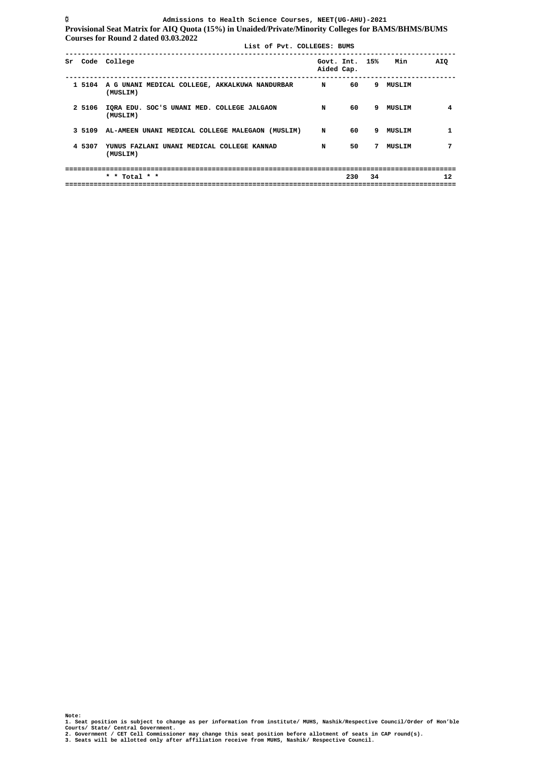**Admissions to Health Science Courses, NEET(UG-AHU)-2021 Provisional Seat Matrix for AIQ Quota (15%) in Unaided/Private/Minority Colleges for BAMS/BHMS/BUMS Courses for Round 2 dated 03.03.2022 List of Pvt. COLLEGES: BUMS ------------------------------------------------------------------------------------------------**  Sr Code College **Government Code College** Government Code College Government Code College Aided Cap. *Aided Cap.* **Aided Cap. ------------------------------------------------------------------------------------------------ 1 5104 A G UNANI MEDICAL COLLEGE, AKKALKUWA NANDURBAR N 60 9 MUSLIM (MUSLIM) 2 5106 IQRA EDU. SOC'S UNANI MED. COLLEGE JALGAON N 60 9 MUSLIM 4 (MUSLIM) 3 5109 AL-AMEEN UNANI MEDICAL COLLEGE MALEGAON (MUSLIM) N 60 9 MUSLIM 1 4 5307 YUNUS FAZLANI UNANI MEDICAL COLLEGE KANNAD N 50 7 MUSLIM 7 (MUSLIM) ================================================================================================ 230 34 ================================================================================================** 

**3. Seats will be allotted only after affiliation receive from MUHS, Nashik/ Respective Council.** 

**Note: 1. Seat position is subject to change as per information from institute/ MUHS, Nashik/Respective Council/Order of Hon'ble Courts/ State/ Central Government. 2. Government / CET Cell Commissioner may change this seat position before allotment of seats in CAP round(s).**